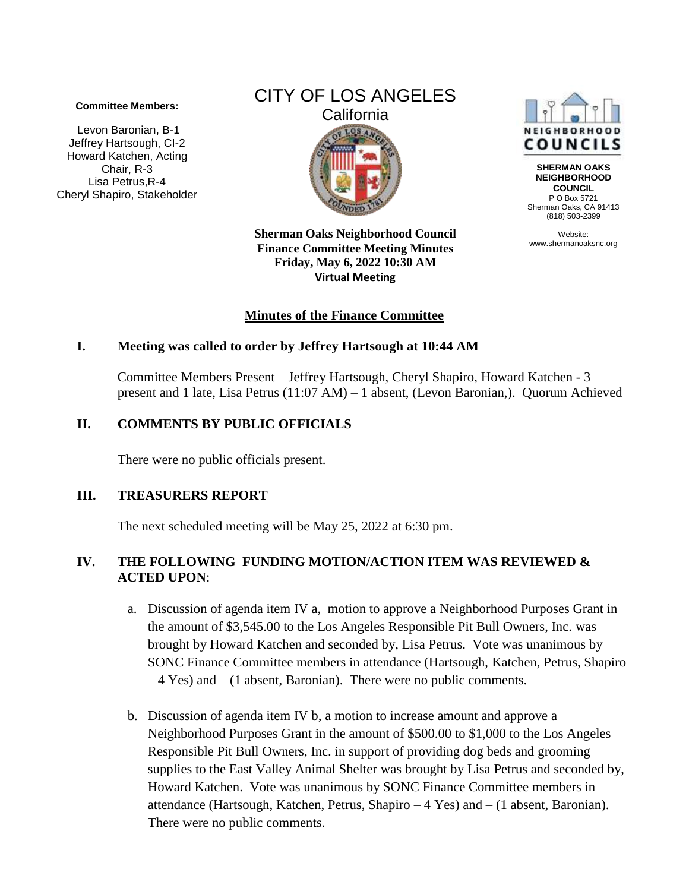#### **Committee Members:**

Levon Baronian, B-1 Jeffrey Hartsough, CI-2 Howard Katchen, Acting Chair, R-3 Lisa Petrus,R-4 Cheryl Shapiro, Stakeholder



**Sherman Oaks Neighborhood Council Finance Committee Meeting Minutes Friday, May 6, 2022 10:30 AM Virtual Meeting** 

## **Minutes of the Finance Committee**

### **I. Meeting was called to order by Jeffrey Hartsough at 10:44 AM**

Committee Members Present – Jeffrey Hartsough, Cheryl Shapiro, Howard Katchen - 3 present and 1 late, Lisa Petrus (11:07 AM) – 1 absent, (Levon Baronian,). Quorum Achieved

### **II. COMMENTS BY PUBLIC OFFICIALS**

There were no public officials present.

#### **III. TREASURERS REPORT**

The next scheduled meeting will be May 25, 2022 at 6:30 pm.

## **IV. THE FOLLOWING FUNDING MOTION/ACTION ITEM WAS REVIEWED & ACTED UPON**:

- a. Discussion of agenda item IV a, motion to approve a Neighborhood Purposes Grant in the amount of \$3,545.00 to the Los Angeles Responsible Pit Bull Owners, Inc. was brought by Howard Katchen and seconded by, Lisa Petrus. Vote was unanimous by SONC Finance Committee members in attendance (Hartsough, Katchen, Petrus, Shapiro – 4 Yes) and – (1 absent, Baronian). There were no public comments.
- b. Discussion of agenda item IV b, a motion to increase amount and approve a Neighborhood Purposes Grant in the amount of \$500.00 to \$1,000 to the Los Angeles Responsible Pit Bull Owners, Inc. in support of providing dog beds and grooming supplies to the East Valley Animal Shelter was brought by Lisa Petrus and seconded by, Howard Katchen. Vote was unanimous by SONC Finance Committee members in attendance (Hartsough, Katchen, Petrus, Shapiro – 4 Yes) and – (1 absent, Baronian). There were no public comments.



**SHERMAN OAKS NEIGHBORHOOD COUNCIL** P O Box 5721 Sherman Oaks, CA 91413 (818) 503-2399

Website: www.shermanoaksnc.org